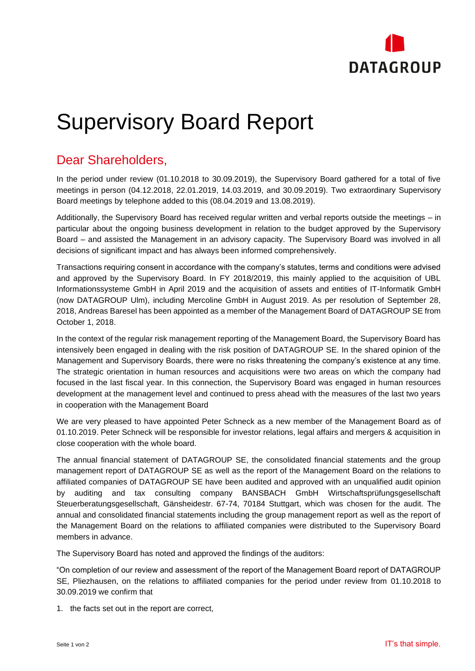

## Supervisory Board Report

## Dear Shareholders,

In the period under review (01.10.2018 to 30.09.2019), the Supervisory Board gathered for a total of five meetings in person (04.12.2018, 22.01.2019, 14.03.2019, and 30.09.2019). Two extraordinary Supervisory Board meetings by telephone added to this (08.04.2019 and 13.08.2019).

Additionally, the Supervisory Board has received regular written and verbal reports outside the meetings – in particular about the ongoing business development in relation to the budget approved by the Supervisory Board – and assisted the Management in an advisory capacity. The Supervisory Board was involved in all decisions of significant impact and has always been informed comprehensively.

Transactions requiring consent in accordance with the company's statutes, terms and conditions were advised and approved by the Supervisory Board. In FY 2018/2019, this mainly applied to the acquisition of UBL Informationssysteme GmbH in April 2019 and the acquisition of assets and entities of IT-Informatik GmbH (now DATAGROUP Ulm), including Mercoline GmbH in August 2019. As per resolution of September 28, 2018, Andreas Baresel has been appointed as a member of the Management Board of DATAGROUP SE from October 1, 2018.

In the context of the regular risk management reporting of the Management Board, the Supervisory Board has intensively been engaged in dealing with the risk position of DATAGROUP SE. In the shared opinion of the Management and Supervisory Boards, there were no risks threatening the company's existence at any time. The strategic orientation in human resources and acquisitions were two areas on which the company had focused in the last fiscal year. In this connection, the Supervisory Board was engaged in human resources development at the management level and continued to press ahead with the measures of the last two years in cooperation with the Management Board

We are very pleased to have appointed Peter Schneck as a new member of the Management Board as of 01.10.2019. Peter Schneck will be responsible for investor relations, legal affairs and mergers & acquisition in close cooperation with the whole board.

The annual financial statement of DATAGROUP SE, the consolidated financial statements and the group management report of DATAGROUP SE as well as the report of the Management Board on the relations to affiliated companies of DATAGROUP SE have been audited and approved with an unqualified audit opinion by auditing and tax consulting company BANSBACH GmbH Wirtschaftsprüfungsgesellschaft Steuerberatungsgesellschaft, Gänsheidestr. 67-74, 70184 Stuttgart, which was chosen for the audit. The annual and consolidated financial statements including the group management report as well as the report of the Management Board on the relations to affiliated companies were distributed to the Supervisory Board members in advance.

The Supervisory Board has noted and approved the findings of the auditors:

"On completion of our review and assessment of the report of the Management Board report of DATAGROUP SE, Pliezhausen, on the relations to affiliated companies for the period under review from 01.10.2018 to 30.09.2019 we confirm that

1. the facts set out in the report are correct,